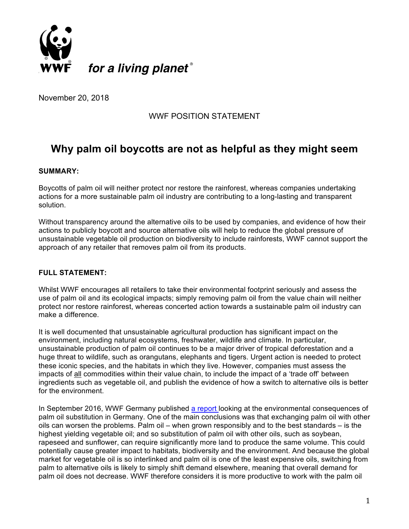

November 20, 2018

## WWF POSITION STATEMENT

# **Why palm oil boycotts are not as helpful as they might seem**

#### **SUMMARY:**

Boycotts of palm oil will neither protect nor restore the rainforest, whereas companies undertaking actions for a more sustainable palm oil industry are contributing to a long-lasting and transparent solution.

Without transparency around the alternative oils to be used by companies, and evidence of how their actions to publicly boycott and source alternative oils will help to reduce the global pressure of unsustainable vegetable oil production on biodiversity to include rainforests, WWF cannot support the approach of any retailer that removes palm oil from its products.

### **FULL STATEMENT:**

Whilst WWF encourages all retailers to take their environmental footprint seriously and assess the use of palm oil and its ecological impacts; simply removing palm oil from the value chain will neither protect nor restore rainforest, whereas concerted action towards a sustainable palm oil industry can make a difference.

It is well documented that unsustainable agricultural production has significant impact on the environment, including natural ecosystems, freshwater, wildlife and climate. In particular, unsustainable production of palm oil continues to be a major driver of tropical deforestation and a huge threat to wildlife, such as orangutans, elephants and tigers. Urgent action is needed to protect these iconic species, and the habitats in which they live. However, companies must assess the impacts of all commodities within their value chain, to include the impact of a 'trade off' between ingredients such as vegetable oil, and publish the evidence of how a switch to alternative oils is better for the environment.

In September 2016, WWF Germany published a report looking at the environmental consequences of palm oil substitution in Germany. One of the main conclusions was that exchanging palm oil with other oils can worsen the problems. Palm oil – when grown responsibly and to the best standards – is the highest yielding vegetable oil; and so substitution of palm oil with other oils, such as soybean, rapeseed and sunflower, can require significantly more land to produce the same volume. This could potentially cause greater impact to habitats, biodiversity and the environment. And because the global market for vegetable oil is so interlinked and palm oil is one of the least expensive oils, switching from palm to alternative oils is likely to simply shift demand elsewhere, meaning that overall demand for palm oil does not decrease. WWF therefore considers it is more productive to work with the palm oil